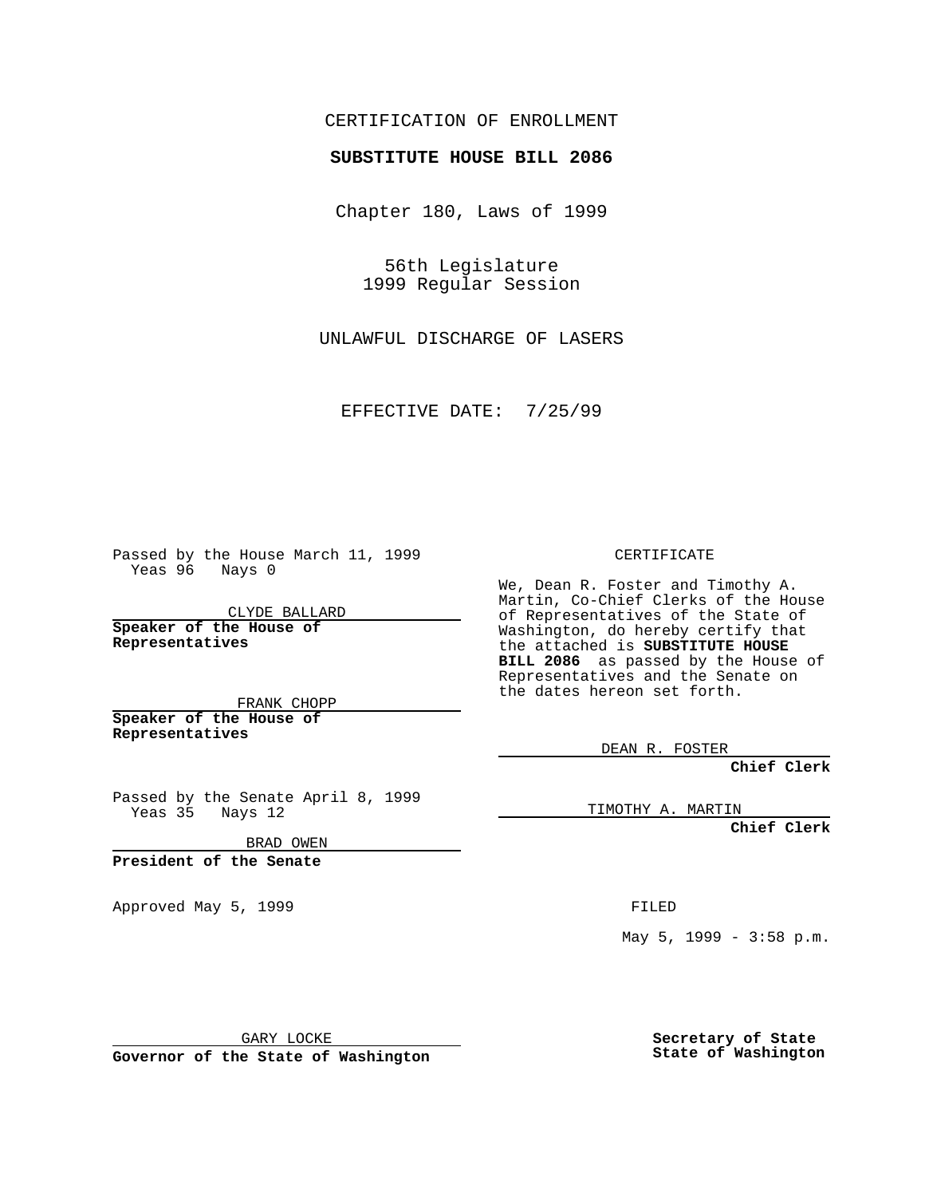## CERTIFICATION OF ENROLLMENT

## **SUBSTITUTE HOUSE BILL 2086**

Chapter 180, Laws of 1999

56th Legislature 1999 Regular Session

UNLAWFUL DISCHARGE OF LASERS

EFFECTIVE DATE: 7/25/99

Passed by the House March 11, 1999 Yeas 96 Nays 0

CLYDE BALLARD **Speaker of the House of Representatives**

FRANK CHOPP **Speaker of the House of Representatives**

Passed by the Senate April 8, 1999 Yeas 35 Nays 12

BRAD OWEN

**President of the Senate**

Approved May 5, 1999 **FILED** 

CERTIFICATE

We, Dean R. Foster and Timothy A. Martin, Co-Chief Clerks of the House of Representatives of the State of Washington, do hereby certify that the attached is **SUBSTITUTE HOUSE BILL 2086** as passed by the House of Representatives and the Senate on the dates hereon set forth.

DEAN R. FOSTER

**Chief Clerk**

TIMOTHY A. MARTIN

**Chief Clerk**

May 5, 1999 - 3:58 p.m.

GARY LOCKE

**Governor of the State of Washington**

**Secretary of State State of Washington**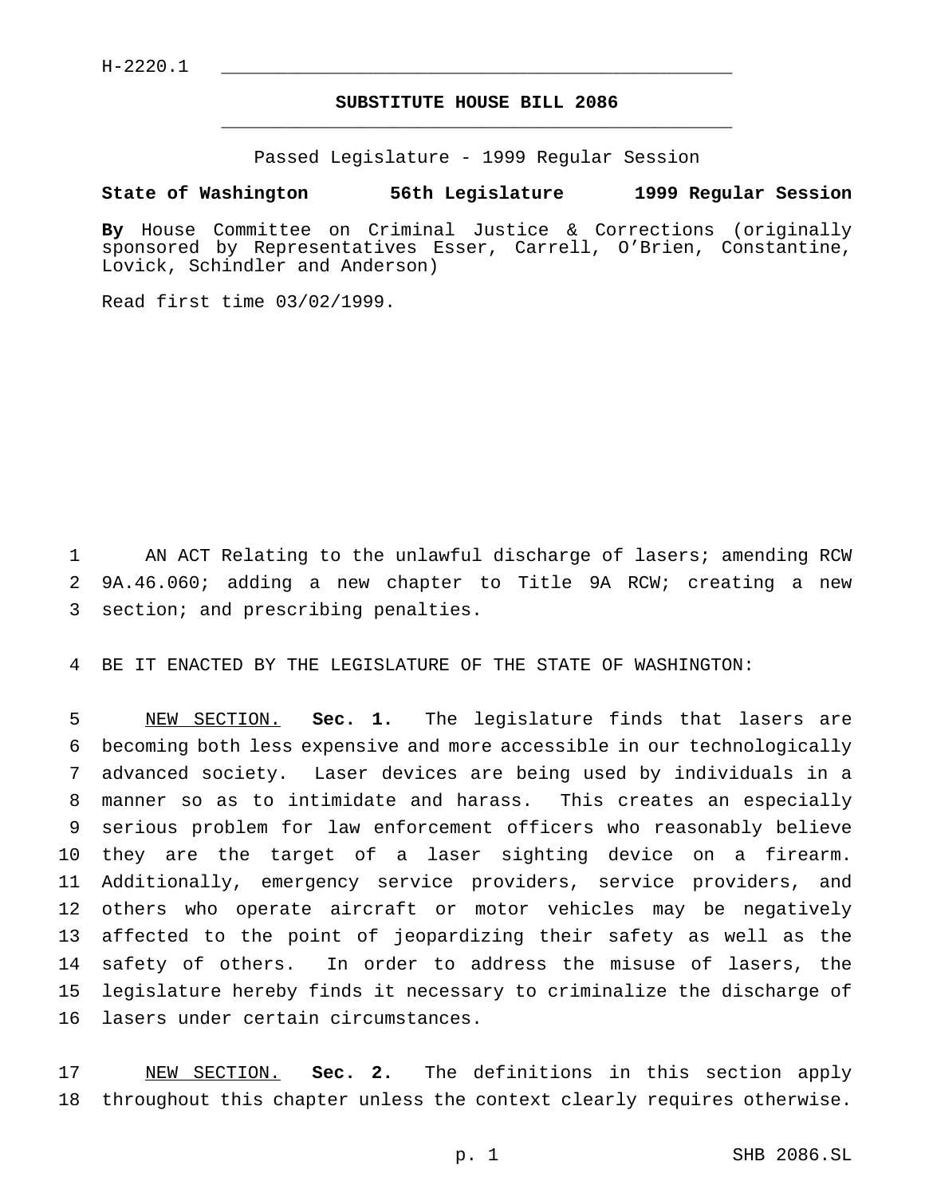$H - 2220.1$ 

## **SUBSTITUTE HOUSE BILL 2086** \_\_\_\_\_\_\_\_\_\_\_\_\_\_\_\_\_\_\_\_\_\_\_\_\_\_\_\_\_\_\_\_\_\_\_\_\_\_\_\_\_\_\_\_\_\_\_

Passed Legislature - 1999 Regular Session

## **State of Washington 56th Legislature 1999 Regular Session**

**By** House Committee on Criminal Justice & Corrections (originally sponsored by Representatives Esser, Carrell, O'Brien, Constantine, Lovick, Schindler and Anderson)

Read first time 03/02/1999.

 AN ACT Relating to the unlawful discharge of lasers; amending RCW 9A.46.060; adding a new chapter to Title 9A RCW; creating a new section; and prescribing penalties.

BE IT ENACTED BY THE LEGISLATURE OF THE STATE OF WASHINGTON:

 NEW SECTION. **Sec. 1.** The legislature finds that lasers are becoming both less expensive and more accessible in our technologically advanced society. Laser devices are being used by individuals in a manner so as to intimidate and harass. This creates an especially serious problem for law enforcement officers who reasonably believe they are the target of a laser sighting device on a firearm. Additionally, emergency service providers, service providers, and others who operate aircraft or motor vehicles may be negatively affected to the point of jeopardizing their safety as well as the safety of others. In order to address the misuse of lasers, the legislature hereby finds it necessary to criminalize the discharge of lasers under certain circumstances.

 NEW SECTION. **Sec. 2.** The definitions in this section apply throughout this chapter unless the context clearly requires otherwise.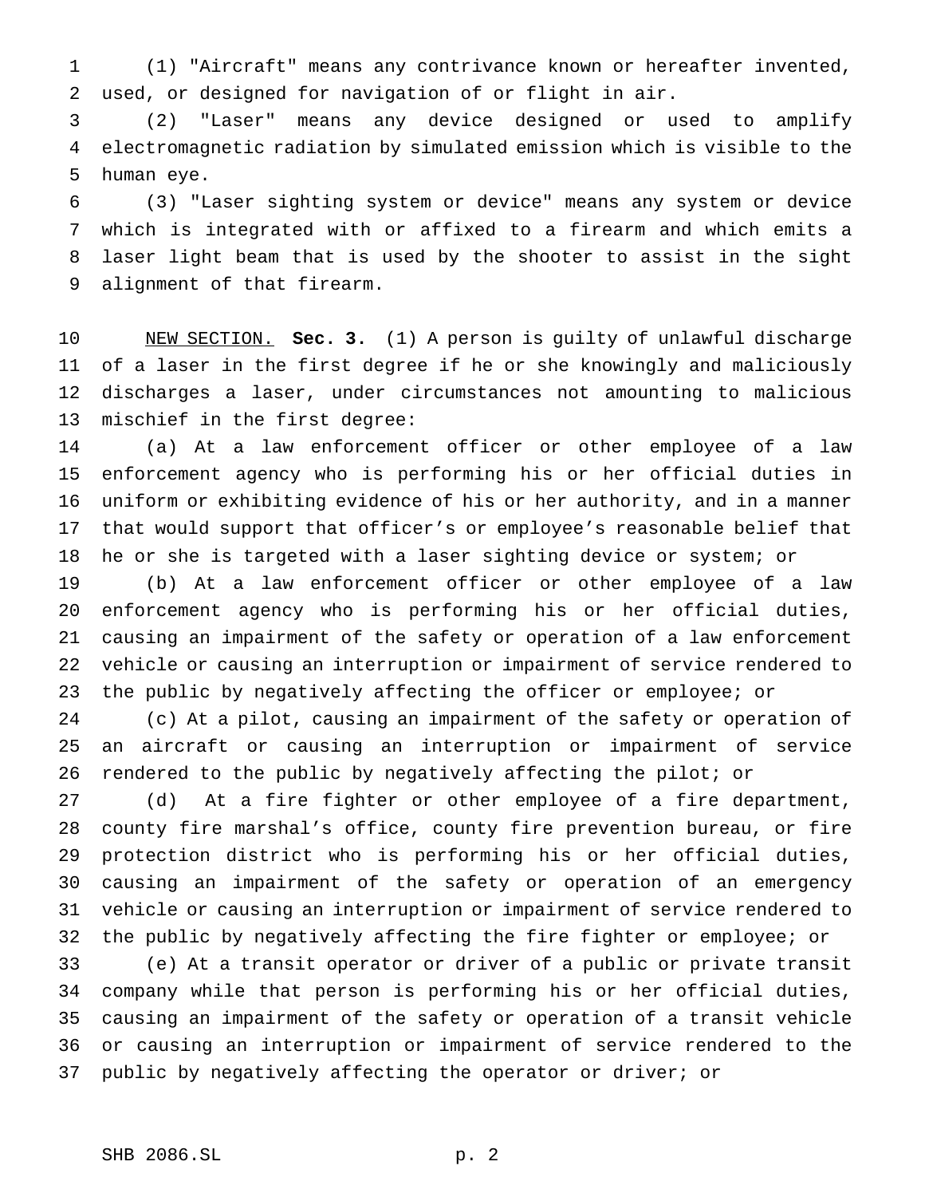(1) "Aircraft" means any contrivance known or hereafter invented, used, or designed for navigation of or flight in air.

 (2) "Laser" means any device designed or used to amplify electromagnetic radiation by simulated emission which is visible to the human eye.

 (3) "Laser sighting system or device" means any system or device which is integrated with or affixed to a firearm and which emits a laser light beam that is used by the shooter to assist in the sight alignment of that firearm.

 NEW SECTION. **Sec. 3.** (1) A person is guilty of unlawful discharge of a laser in the first degree if he or she knowingly and maliciously discharges a laser, under circumstances not amounting to malicious mischief in the first degree:

 (a) At a law enforcement officer or other employee of a law enforcement agency who is performing his or her official duties in uniform or exhibiting evidence of his or her authority, and in a manner that would support that officer's or employee's reasonable belief that he or she is targeted with a laser sighting device or system; or

 (b) At a law enforcement officer or other employee of a law enforcement agency who is performing his or her official duties, causing an impairment of the safety or operation of a law enforcement vehicle or causing an interruption or impairment of service rendered to the public by negatively affecting the officer or employee; or

 (c) At a pilot, causing an impairment of the safety or operation of an aircraft or causing an interruption or impairment of service rendered to the public by negatively affecting the pilot; or

 (d) At a fire fighter or other employee of a fire department, county fire marshal's office, county fire prevention bureau, or fire protection district who is performing his or her official duties, causing an impairment of the safety or operation of an emergency vehicle or causing an interruption or impairment of service rendered to the public by negatively affecting the fire fighter or employee; or

 (e) At a transit operator or driver of a public or private transit company while that person is performing his or her official duties, causing an impairment of the safety or operation of a transit vehicle or causing an interruption or impairment of service rendered to the public by negatively affecting the operator or driver; or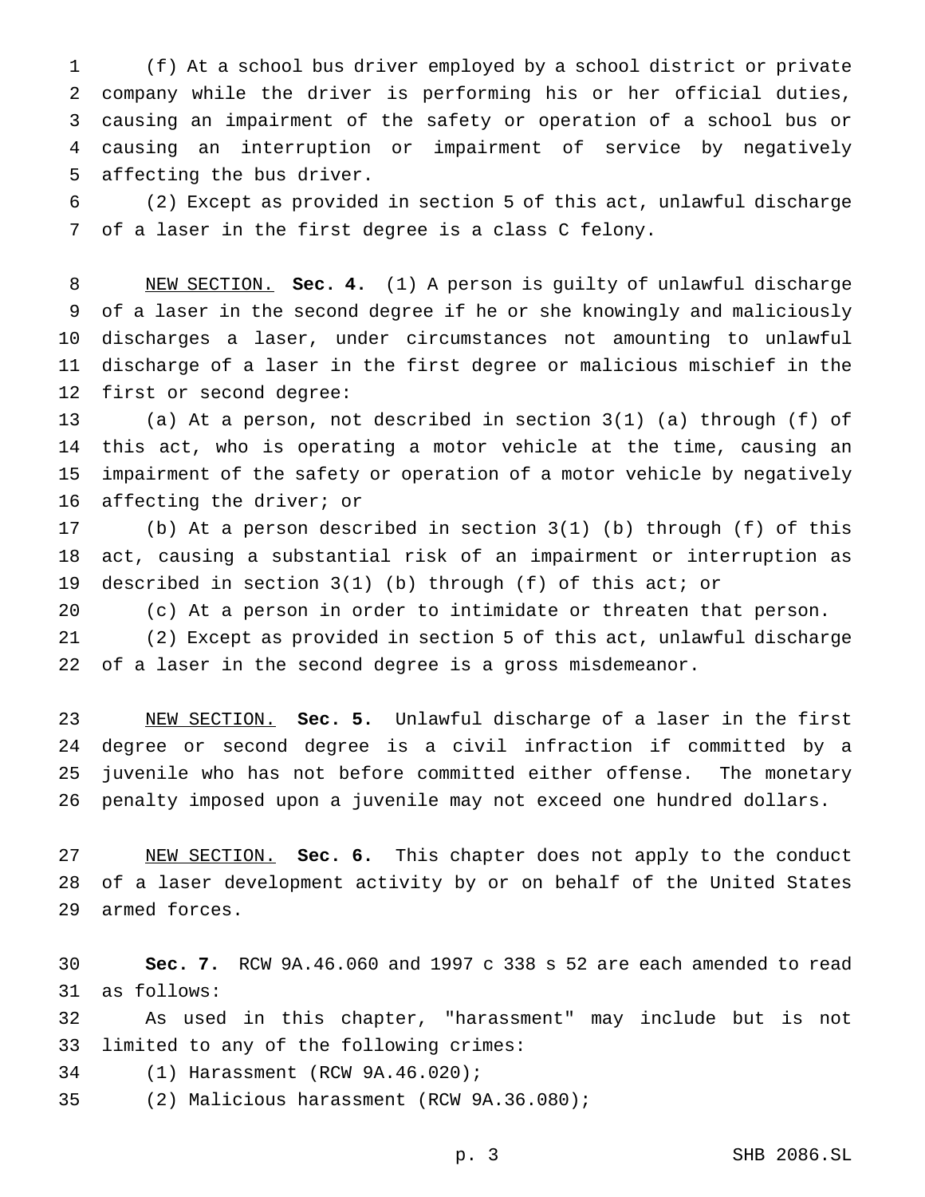(f) At a school bus driver employed by a school district or private company while the driver is performing his or her official duties, causing an impairment of the safety or operation of a school bus or causing an interruption or impairment of service by negatively affecting the bus driver.

 (2) Except as provided in section 5 of this act, unlawful discharge of a laser in the first degree is a class C felony.

 NEW SECTION. **Sec. 4.** (1) A person is guilty of unlawful discharge of a laser in the second degree if he or she knowingly and maliciously discharges a laser, under circumstances not amounting to unlawful discharge of a laser in the first degree or malicious mischief in the first or second degree:

 (a) At a person, not described in section 3(1) (a) through (f) of this act, who is operating a motor vehicle at the time, causing an impairment of the safety or operation of a motor vehicle by negatively affecting the driver; or

 (b) At a person described in section 3(1) (b) through (f) of this act, causing a substantial risk of an impairment or interruption as described in section 3(1) (b) through (f) of this act; or

(c) At a person in order to intimidate or threaten that person.

 (2) Except as provided in section 5 of this act, unlawful discharge of a laser in the second degree is a gross misdemeanor.

 NEW SECTION. **Sec. 5.** Unlawful discharge of a laser in the first degree or second degree is a civil infraction if committed by a juvenile who has not before committed either offense. The monetary penalty imposed upon a juvenile may not exceed one hundred dollars.

 NEW SECTION. **Sec. 6.** This chapter does not apply to the conduct of a laser development activity by or on behalf of the United States armed forces.

 **Sec. 7.** RCW 9A.46.060 and 1997 c 338 s 52 are each amended to read as follows:

 As used in this chapter, "harassment" may include but is not limited to any of the following crimes:

(1) Harassment (RCW 9A.46.020);

(2) Malicious harassment (RCW 9A.36.080);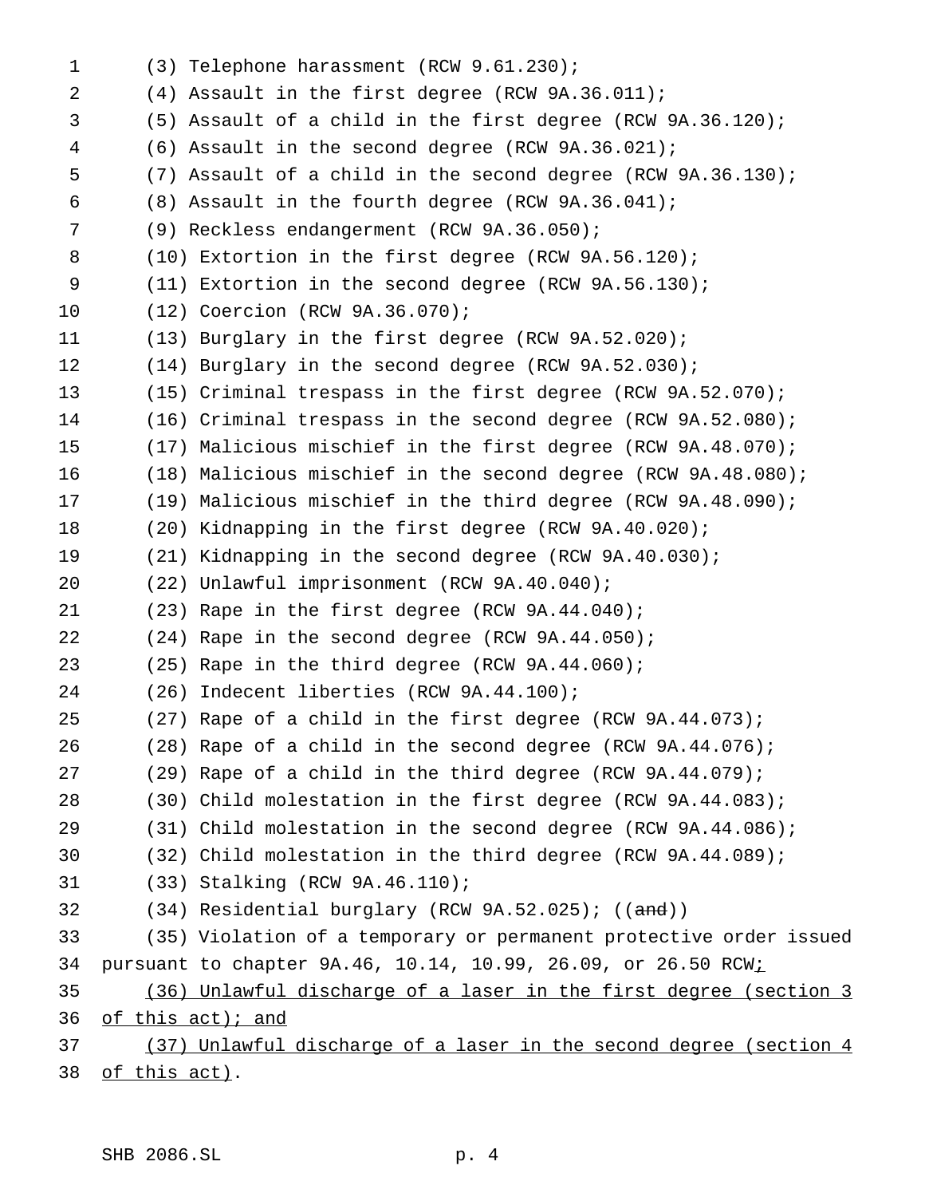| $\mathbf 1$ | (3) Telephone harassment (RCW 9.61.230);                                  |
|-------------|---------------------------------------------------------------------------|
| 2           | (4) Assault in the first degree (RCW 9A.36.011);                          |
| 3           | $(5)$ Assault of a child in the first degree (RCW 9A.36.120);             |
| 4           | $(6)$ Assault in the second degree (RCW $9A.36.021$ );                    |
| 5           | (7) Assault of a child in the second degree (RCW $9A.36.130$ );           |
| 6           | $(8)$ Assault in the fourth degree (RCW $9A.36.041$ );                    |
| 7           | (9) Reckless endangerment (RCW 9A.36.050);                                |
| 8           | $(10)$ Extortion in the first degree (RCW 9A.56.120);                     |
| 9           | $(11)$ Extortion in the second degree (RCW 9A.56.130);                    |
| 10          | (12) Coercion (RCW 9A.36.070);                                            |
| 11          | $(13)$ Burglary in the first degree (RCW 9A.52.020);                      |
| 12          | $(14)$ Burglary in the second degree (RCW 9A.52.030);                     |
| 13          | $(15)$ Criminal trespass in the first degree (RCW 9A.52.070);             |
| 14          | $(16)$ Criminal trespass in the second degree (RCW 9A.52.080);            |
| 15          | $(17)$ Malicious mischief in the first degree (RCW 9A.48.070);            |
| 16          | $(18)$ Malicious mischief in the second degree (RCW 9A.48.080);           |
| 17          | $(19)$ Malicious mischief in the third degree (RCW 9A.48.090);            |
| 18          | (20) Kidnapping in the first degree (RCW 9A.40.020);                      |
| 19          | (21) Kidnapping in the second degree (RCW 9A.40.030);                     |
| 20          | (22) Unlawful imprisonment (RCW 9A.40.040);                               |
| 21          | (23) Rape in the first degree (RCW 9A.44.040);                            |
| 22          | (24) Rape in the second degree (RCW 9A.44.050);                           |
| 23          | $(25)$ Rape in the third degree (RCW 9A.44.060);                          |
| 24          | (26) Indecent liberties (RCW 9A.44.100);                                  |
| 25          | $(27)$ Rape of a child in the first degree (RCW 9A.44.073);               |
| 26          | $(28)$ Rape of a child in the second degree (RCW 9A.44.076);              |
| 27          | $(29)$ Rape of a child in the third degree (RCW 9A.44.079);               |
| 28          | (30) Child molestation in the first degree (RCW 9A.44.083);               |
| 29          | $(31)$ Child molestation in the second degree (RCW 9A.44.086);            |
| 30          | (32) Child molestation in the third degree (RCW 9A.44.089);               |
| 31          | (33) Stalking (RCW 9A.46.110);                                            |
| 32          | $(34)$ Residential burglary (RCW 9A.52.025); ((and))                      |
| 33          | (35) Violation of a temporary or permanent protective order issued        |
| 34          | pursuant to chapter 9A.46, 10.14, 10.99, 26.09, or 26.50 RCW <sub>i</sub> |
| 35          | <u>(36) Unlawful discharge of a laser in the first degree (section 3</u>  |
| 36          | of this act); and                                                         |
| 37          | (37) Unlawful discharge of a laser in the second degree (section 4        |
| 38          | of this act).                                                             |